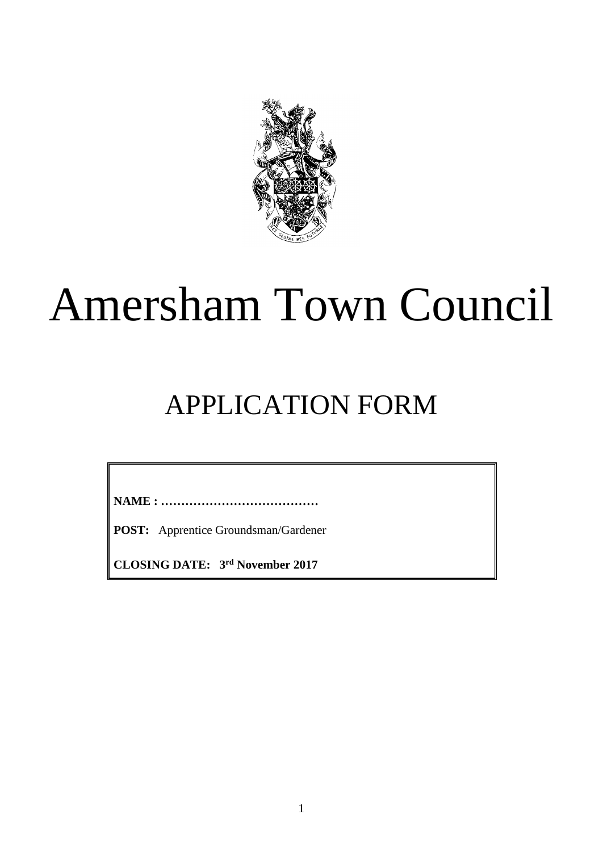

# Amersham Town Council

# APPLICATION FORM

**NAME : …………………………………**

**POST:** Apprentice Groundsman/Gardener

**CLOSING DATE: 3 rd November 2017**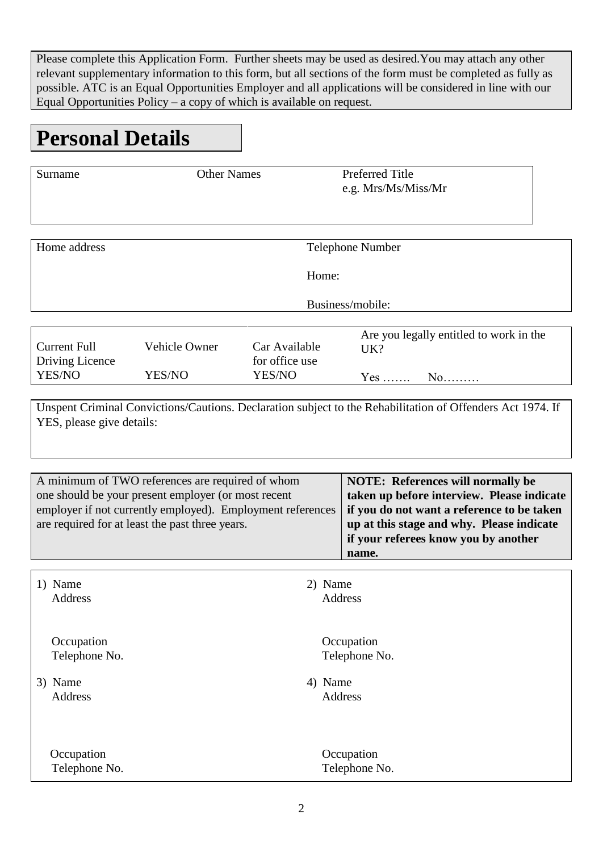Please complete this Application Form. Further sheets may be used as desired.You may attach any other relevant supplementary information to this form, but all sections of the form must be completed as fully as possible. ATC is an Equal Opportunities Employer and all applications will be considered in line with our Equal Opportunities Policy – a copy of which is available on request.

### **Personal Details**

| Surname                                                                                                                                                                                                                  | <b>Other Names</b>      |                                                                                                                                                                                                                                    | <b>Preferred Title</b><br>e.g. Mrs/Ms/Miss/Mr |                                                     |  |  |  |
|--------------------------------------------------------------------------------------------------------------------------------------------------------------------------------------------------------------------------|-------------------------|------------------------------------------------------------------------------------------------------------------------------------------------------------------------------------------------------------------------------------|-----------------------------------------------|-----------------------------------------------------|--|--|--|
| Home address                                                                                                                                                                                                             | Telephone Number        |                                                                                                                                                                                                                                    |                                               |                                                     |  |  |  |
|                                                                                                                                                                                                                          | Home:                   |                                                                                                                                                                                                                                    |                                               |                                                     |  |  |  |
|                                                                                                                                                                                                                          | Business/mobile:        |                                                                                                                                                                                                                                    |                                               |                                                     |  |  |  |
| <b>Current Full</b><br>Driving Licence<br>YES/NO                                                                                                                                                                         | Vehicle Owner<br>YES/NO | Car Available<br>for office use<br>YES/NO                                                                                                                                                                                          | UK?                                           | Are you legally entitled to work in the<br>Yes $No$ |  |  |  |
| Unspent Criminal Convictions/Cautions. Declaration subject to the Rehabilitation of Offenders Act 1974. If<br>YES, please give details:                                                                                  |                         |                                                                                                                                                                                                                                    |                                               |                                                     |  |  |  |
| A minimum of TWO references are required of whom<br>one should be your present employer (or most recent<br>employer if not currently employed). Employment references<br>are required for at least the past three years. |                         | <b>NOTE: References will normally be</b><br>taken up before interview. Please indicate<br>if you do not want a reference to be taken<br>up at this stage and why. Please indicate<br>if your referees know you by another<br>name. |                                               |                                                     |  |  |  |
| 1) Name<br><b>Address</b>                                                                                                                                                                                                |                         | 2) Name                                                                                                                                                                                                                            | <b>Address</b>                                |                                                     |  |  |  |
| Occupation<br>Telephone No.<br>3) Name<br>Address                                                                                                                                                                        |                         | 4) Name                                                                                                                                                                                                                            | Occupation<br>Telephone No.<br><b>Address</b> |                                                     |  |  |  |
| Occupation<br>Telephone No.                                                                                                                                                                                              |                         |                                                                                                                                                                                                                                    | Occupation<br>Telephone No.                   |                                                     |  |  |  |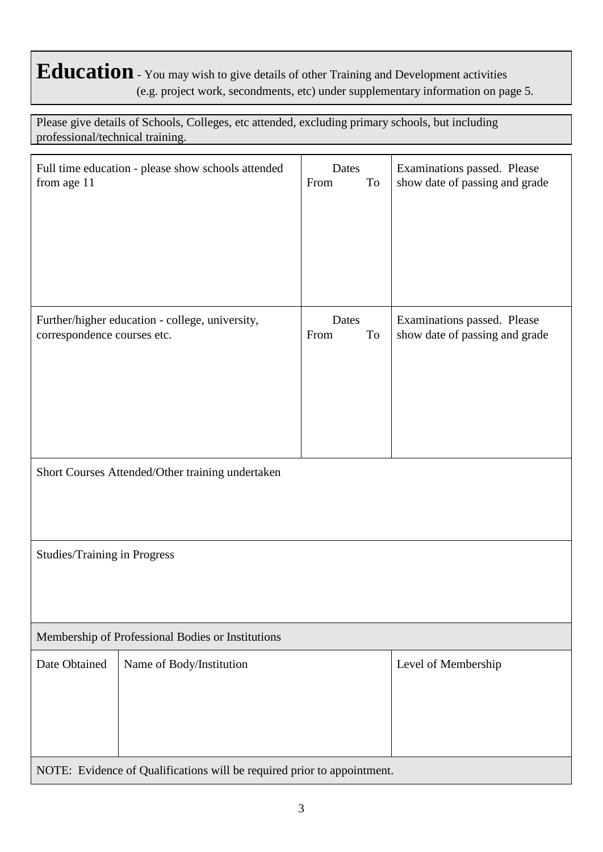#### **Education** - You may wish to give details of other Training and Development activities (e.g. project work, secondments, etc) under supplementary information on page 5.

Please give details of Schools, Colleges, etc attended, excluding primary schools, but including professional/technical training.

| Full time education - please show schools attended<br>from age 11                                                                  |                          | Dates<br>From<br>To | Examinations passed. Please<br>show date of passing and grade |  |  |
|------------------------------------------------------------------------------------------------------------------------------------|--------------------------|---------------------|---------------------------------------------------------------|--|--|
|                                                                                                                                    |                          |                     |                                                               |  |  |
| Further/higher education - college, university,<br>correspondence courses etc.<br>Short Courses Attended/Other training undertaken |                          | Dates<br>From<br>To | Examinations passed. Please<br>show date of passing and grade |  |  |
|                                                                                                                                    |                          |                     |                                                               |  |  |
| <b>Studies/Training in Progress</b>                                                                                                |                          |                     |                                                               |  |  |
| Membership of Professional Bodies or Institutions                                                                                  |                          |                     |                                                               |  |  |
| Date Obtained                                                                                                                      | Name of Body/Institution |                     | Level of Membership                                           |  |  |
| NOTE: Evidence of Qualifications will be required prior to appointment.                                                            |                          |                     |                                                               |  |  |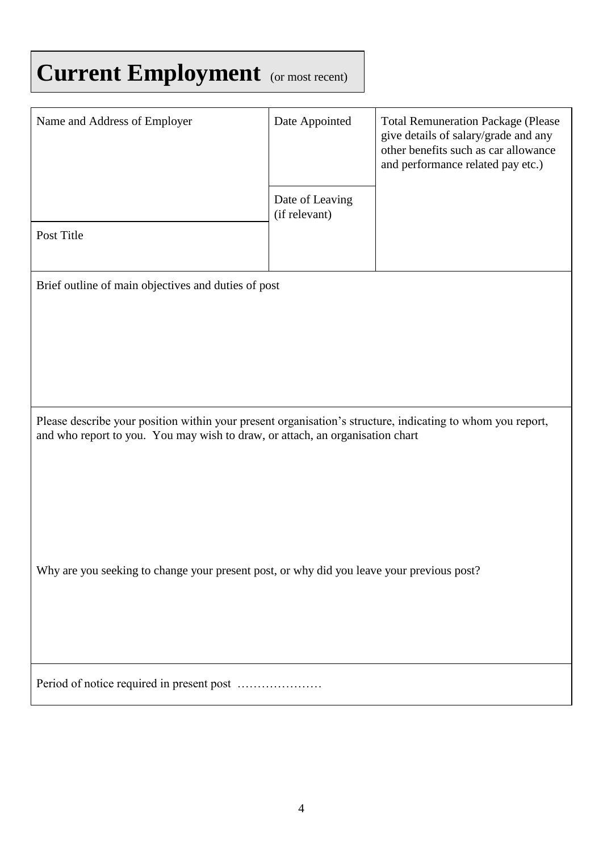## **Current Employment** (or most recent)

| Name and Address of Employer                                                                                                                                                                | Date Appointed                   | <b>Total Remuneration Package (Please</b><br>give details of salary/grade and any<br>other benefits such as car allowance<br>and performance related pay etc.) |  |  |  |  |
|---------------------------------------------------------------------------------------------------------------------------------------------------------------------------------------------|----------------------------------|----------------------------------------------------------------------------------------------------------------------------------------------------------------|--|--|--|--|
|                                                                                                                                                                                             | Date of Leaving<br>(if relevant) |                                                                                                                                                                |  |  |  |  |
| Post Title                                                                                                                                                                                  |                                  |                                                                                                                                                                |  |  |  |  |
| Brief outline of main objectives and duties of post                                                                                                                                         |                                  |                                                                                                                                                                |  |  |  |  |
|                                                                                                                                                                                             |                                  |                                                                                                                                                                |  |  |  |  |
|                                                                                                                                                                                             |                                  |                                                                                                                                                                |  |  |  |  |
| Please describe your position within your present organisation's structure, indicating to whom you report,<br>and who report to you. You may wish to draw, or attach, an organisation chart |                                  |                                                                                                                                                                |  |  |  |  |
|                                                                                                                                                                                             |                                  |                                                                                                                                                                |  |  |  |  |
|                                                                                                                                                                                             |                                  |                                                                                                                                                                |  |  |  |  |
| Why are you seeking to change your present post, or why did you leave your previous post?                                                                                                   |                                  |                                                                                                                                                                |  |  |  |  |
|                                                                                                                                                                                             |                                  |                                                                                                                                                                |  |  |  |  |
|                                                                                                                                                                                             |                                  |                                                                                                                                                                |  |  |  |  |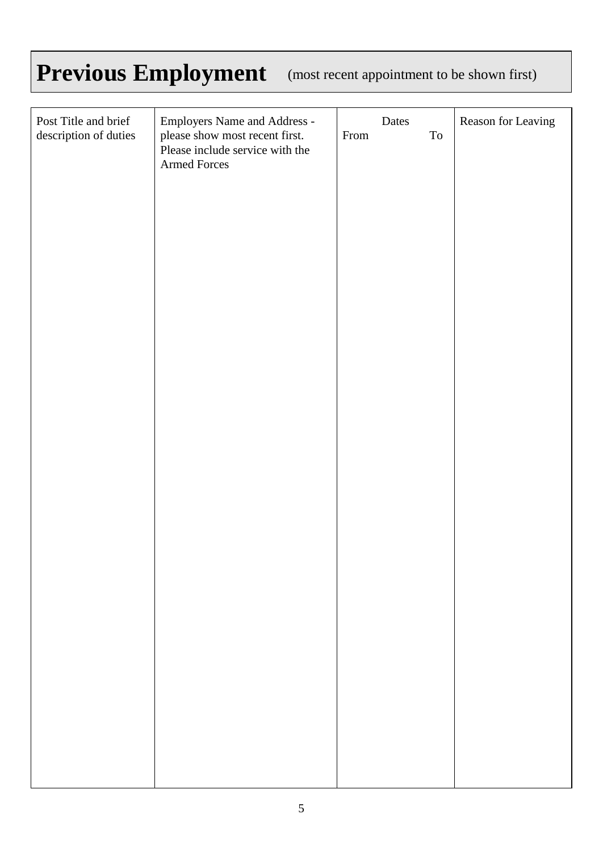## Previous Employment (most recent appointment to be shown first)

| Post Title and brief<br>description of duties | Employers Name and Address -<br>please show most recent first. | Dates<br>$\operatorname{To}$<br>From | Reason for Leaving |
|-----------------------------------------------|----------------------------------------------------------------|--------------------------------------|--------------------|
|                                               | Please include service with the<br>Armed Forces                |                                      |                    |
|                                               |                                                                |                                      |                    |
|                                               |                                                                |                                      |                    |
|                                               |                                                                |                                      |                    |
|                                               |                                                                |                                      |                    |
|                                               |                                                                |                                      |                    |
|                                               |                                                                |                                      |                    |
|                                               |                                                                |                                      |                    |
|                                               |                                                                |                                      |                    |
|                                               |                                                                |                                      |                    |
|                                               |                                                                |                                      |                    |
|                                               |                                                                |                                      |                    |
|                                               |                                                                |                                      |                    |
|                                               |                                                                |                                      |                    |
|                                               |                                                                |                                      |                    |
|                                               |                                                                |                                      |                    |
|                                               |                                                                |                                      |                    |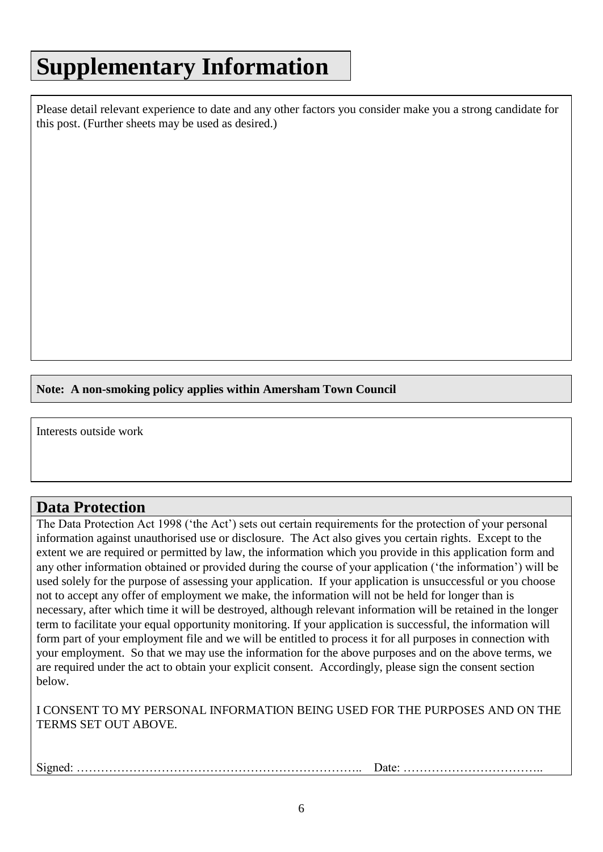### **Supplementary Information**

Please detail relevant experience to date and any other factors you consider make you a strong candidate for this post. (Further sheets may be used as desired.)

**Note: A non-smoking policy applies within Amersham Town Council**

Interests outside work

#### **Data Protection**

The Data Protection Act 1998 ('the Act') sets out certain requirements for the protection of your personal information against unauthorised use or disclosure. The Act also gives you certain rights. Except to the extent we are required or permitted by law, the information which you provide in this application form and any other information obtained or provided during the course of your application ('the information') will be used solely for the purpose of assessing your application. If your application is unsuccessful or you choose not to accept any offer of employment we make, the information will not be held for longer than is necessary, after which time it will be destroyed, although relevant information will be retained in the longer term to facilitate your equal opportunity monitoring. If your application is successful, the information will form part of your employment file and we will be entitled to process it for all purposes in connection with your employment. So that we may use the information for the above purposes and on the above terms, we are required under the act to obtain your explicit consent. Accordingly, please sign the consent section below.

I CONSENT TO MY PERSONAL INFORMATION BEING USED FOR THE PURPOSES AND ON THE TERMS SET OUT ABOVE.

Signed: …………………………………………………………….. Date: ……………………………..